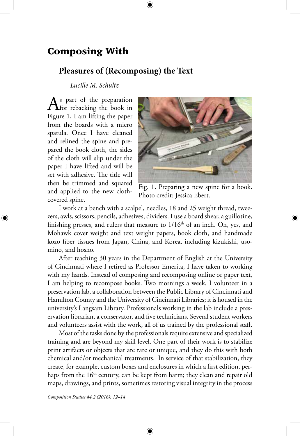## Composing With

## **Pleasures of (Recomposing) the Text**

*Lucille M. Schultz*

 $\bigwedge^s$  part of the preparation<br>Fig. 1.1  $\bigcup^s$  is the book in Figure 1, I am lifting the paper from the boards with a micro spatula. Once I have cleaned and relined the spine and prepared the book cloth, the sides of the cloth will slip under the paper I have lifted and will be set with adhesive. The title will then be trimmed and squared and applied to the new clothcovered spine.

⊕



Fig. 1. Preparing a new spine for a book. Photo credit: Jessica Ebert.

I work at a bench with a scalpel, needles, 18 and 25 weight thread, tweezers, awls, scissors, pencils, adhesives, dividers. I use a board shear, a guillotine, finishing presses, and rulers that measure to  $1/16<sup>th</sup>$  of an inch. Oh, yes, and Mohawk cover weight and text weight papers, book cloth, and handmade kozo fiber tissues from Japan, China, and Korea, including kizukishi, usomino, and hosho.

After teaching 30 years in the Department of English at the University of Cincinnati where I retired as Professor Emerita, I have taken to working with my hands. Instead of composing and recomposing online or paper text, I am helping to recompose books. Two mornings a week, I volunteer in a preservation lab, a collaboration between the Public Library of Cincinnati and Hamilton County and the University of Cincinnati Libraries; it is housed in the university's Langsam Library. Professionals working in the lab include a preservation librarian, a conservator, and five technicians. Several student workers and volunteers assist with the work, all of us trained by the professional staff.

Most of the tasks done by the professionals require extensive and specialized training and are beyond my skill level. One part of their work is to stabilize print artifacts or objects that are rare or unique, and they do this with both chemical and/or mechanical treatments. In service of that stabilization, they create, for example, custom boxes and enclosures in which a first edition, perhaps from the  $16<sup>th</sup>$  century, can be kept from harm; they clean and repair old maps, drawings, and prints, sometimes restoring visual integrity in the process

⊕

*Composition Studies 44.2 (2016): 12–14*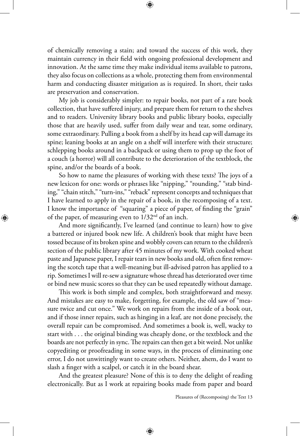of chemically removing a stain; and toward the success of this work, they maintain currency in their field with ongoing professional development and innovation. At the same time they make individual items available to patrons, they also focus on collections as a whole, protecting them from environmental harm and conducting disaster mitigation as is required. In short, their tasks are preservation and conservation.

My job is considerably simpler: to repair books, not part of a rare book collection, that have suffered injury, and prepare them for return to the shelves and to readers. University library books and public library books, especially those that are heavily used, suffer from daily wear and tear, some ordinary, some extraordinary. Pulling a book from a shelf by its head cap will damage its spine; leaning books at an angle on a shelf will interfere with their structure; schlepping books around in a backpack or using them to prop up the foot of a couch (a horror) will all contribute to the deterioration of the textblock, the spine, and/or the boards of a book.

So how to name the pleasures of working with these texts? The joys of a new lexicon for one: words or phrases like "nipping," "rounding," "stab binding," "chain stitch," "turn-ins," "reback" represent concepts and techniques that I have learned to apply in the repair of a book, in the recomposing of a text. I know the importance of "squaring" a piece of paper, of finding the "grain" of the paper, of measuring even to 1/32nd of an inch.

⊕

And more significantly, I've learned (and continue to learn) how to give a battered or injured book new life. A children's book that might have been tossed because of its broken spine and wobbly covers can return to the children's section of the public library after 45 minutes of my work. With cooked wheat paste and Japanese paper, I repair tears in new books and old, often first removing the scotch tape that a well-meaning but ill-advised patron has applied to a rip. Sometimes I will re-sew a signature whose thread has deteriorated over time or bind new music scores so that they can be used repeatedly without damage.

This work is both simple and complex, both straightforward and messy. And mistakes are easy to make, forgetting, for example, the old saw of "measure twice and cut once." We work on repairs from the inside of a book out, and if those inner repairs, such as hinging in a leaf, are not done precisely, the overall repair can be compromised. And sometimes a book is, well, wacky to start with . . . the original binding was cheaply done, or the textblock and the boards are not perfectly in sync. The repairs can then get a bit weird. Not unlike copyediting or proofreading in some ways, in the process of eliminating one error, I do not unwittingly want to create others. Neither, ahem, do I want to slash a finger with a scalpel, or catch it in the board shear.

And the greatest pleasure? None of this is to deny the delight of reading electronically. But as I work at repairing books made from paper and board

⊕

Pleasures of (Recomposing) the Text 13